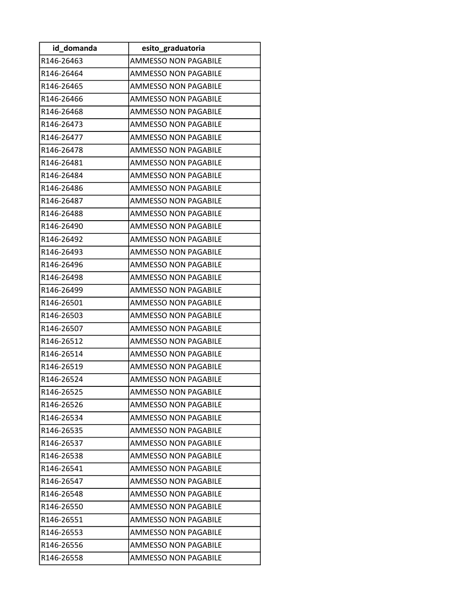| id_domanda | esito graduatoria           |
|------------|-----------------------------|
| R146-26463 | <b>AMMESSO NON PAGABILE</b> |
| R146-26464 | <b>AMMESSO NON PAGABILE</b> |
| R146-26465 | AMMESSO NON PAGABILE        |
| R146-26466 | <b>AMMESSO NON PAGABILE</b> |
| R146-26468 | <b>AMMESSO NON PAGABILE</b> |
| R146-26473 | <b>AMMESSO NON PAGABILE</b> |
| R146-26477 | <b>AMMESSO NON PAGABILE</b> |
| R146-26478 | AMMESSO NON PAGABILE        |
| R146-26481 | <b>AMMESSO NON PAGABILE</b> |
| R146-26484 | <b>AMMESSO NON PAGABILE</b> |
| R146-26486 | <b>AMMESSO NON PAGABILE</b> |
| R146-26487 | <b>AMMESSO NON PAGABILE</b> |
| R146-26488 | <b>AMMESSO NON PAGABILE</b> |
| R146-26490 | <b>AMMESSO NON PAGABILE</b> |
| R146-26492 | AMMESSO NON PAGABILE        |
| R146-26493 | <b>AMMESSO NON PAGABILE</b> |
| R146-26496 | <b>AMMESSO NON PAGABILE</b> |
| R146-26498 | <b>AMMESSO NON PAGABILE</b> |
| R146-26499 | AMMESSO NON PAGABILE        |
| R146-26501 | <b>AMMESSO NON PAGABILE</b> |
| R146-26503 | <b>AMMESSO NON PAGABILE</b> |
| R146-26507 | <b>AMMESSO NON PAGABILE</b> |
| R146-26512 | AMMESSO NON PAGABILE        |
| R146-26514 | <b>AMMESSO NON PAGABILE</b> |
| R146-26519 | <b>AMMESSO NON PAGABILE</b> |
| R146-26524 | <b>AMMESSO NON PAGABILE</b> |
| R146-26525 | AMMESSO NON PAGABILE        |
| R146-26526 | <b>AMMESSO NON PAGABILE</b> |
| R146-26534 | AMMESSO NON PAGABILE        |
| R146-26535 | AMMESSO NON PAGABILE        |
| R146-26537 | AMMESSO NON PAGABILE        |
| R146-26538 | <b>AMMESSO NON PAGABILE</b> |
| R146-26541 | <b>AMMESSO NON PAGABILE</b> |
| R146-26547 | AMMESSO NON PAGABILE        |
| R146-26548 | <b>AMMESSO NON PAGABILE</b> |
| R146-26550 | <b>AMMESSO NON PAGABILE</b> |
| R146-26551 | <b>AMMESSO NON PAGABILE</b> |
| R146-26553 | AMMESSO NON PAGABILE        |
| R146-26556 | AMMESSO NON PAGABILE        |
| R146-26558 | <b>AMMESSO NON PAGABILE</b> |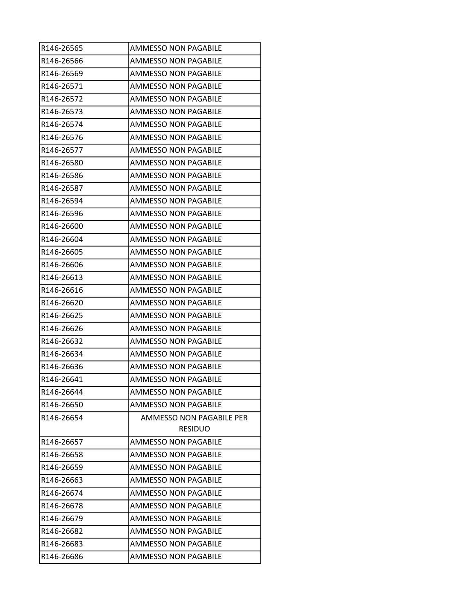| R146-26565 | AMMESSO NON PAGABILE        |
|------------|-----------------------------|
| R146-26566 | AMMESSO NON PAGABILE        |
| R146-26569 | <b>AMMESSO NON PAGABILE</b> |
| R146-26571 | <b>AMMESSO NON PAGABILE</b> |
| R146-26572 | <b>AMMESSO NON PAGABILE</b> |
| R146-26573 | <b>AMMESSO NON PAGABILE</b> |
| R146-26574 | <b>AMMESSO NON PAGABILE</b> |
| R146-26576 | <b>AMMESSO NON PAGABILE</b> |
| R146-26577 | AMMESSO NON PAGABILE        |
| R146-26580 | AMMESSO NON PAGABILE        |
| R146-26586 | <b>AMMESSO NON PAGABILE</b> |
| R146-26587 | AMMESSO NON PAGABILE        |
| R146-26594 | <b>AMMESSO NON PAGABILE</b> |
| R146-26596 | <b>AMMESSO NON PAGABILE</b> |
| R146-26600 | AMMESSO NON PAGABILE        |
| R146-26604 | <b>AMMESSO NON PAGABILE</b> |
| R146-26605 | <b>AMMESSO NON PAGABILE</b> |
| R146-26606 | <b>AMMESSO NON PAGABILE</b> |
| R146-26613 | <b>AMMESSO NON PAGABILE</b> |
| R146-26616 | AMMESSO NON PAGABILE        |
| R146-26620 | <b>AMMESSO NON PAGABILE</b> |
| R146-26625 | <b>AMMESSO NON PAGABILE</b> |
| R146-26626 | <b>AMMESSO NON PAGABILE</b> |
| R146-26632 | AMMESSO NON PAGABILE        |
| R146-26634 | AMMESSO NON PAGABILE        |
| R146-26636 | AMMESSO NON PAGABILE        |
| R146-26641 | <b>AMMESSO NON PAGABILE</b> |
| R146-26644 | <b>AMMESSO NON PAGABILE</b> |
| R146-26650 | <b>AMMESSO NON PAGABILE</b> |
| R146-26654 | AMMESSO NON PAGABILE PER    |
|            | <b>RESIDUO</b>              |
| R146-26657 | <b>AMMESSO NON PAGABILE</b> |
| R146-26658 | AMMESSO NON PAGABILE        |
| R146-26659 | AMMESSO NON PAGABILE        |
| R146-26663 | AMMESSO NON PAGABILE        |
| R146-26674 | AMMESSO NON PAGABILE        |
| R146-26678 | AMMESSO NON PAGABILE        |
| R146-26679 | AMMESSO NON PAGABILE        |
| R146-26682 | AMMESSO NON PAGABILE        |
| R146-26683 | AMMESSO NON PAGABILE        |
| R146-26686 | AMMESSO NON PAGABILE        |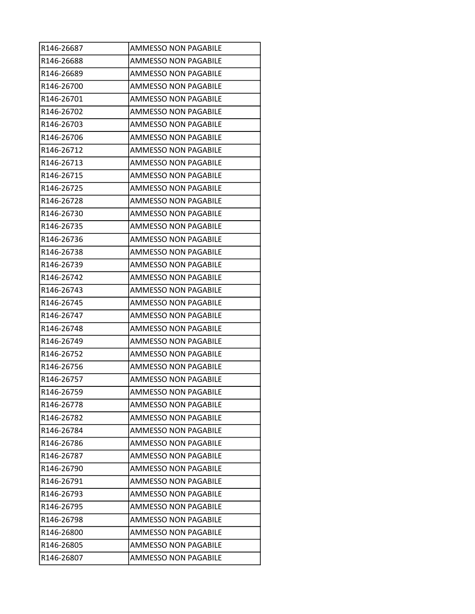| R146-26687 | AMMESSO NON PAGABILE        |
|------------|-----------------------------|
| R146-26688 | AMMESSO NON PAGABILE        |
| R146-26689 | <b>AMMESSO NON PAGABILE</b> |
| R146-26700 | <b>AMMESSO NON PAGABILE</b> |
| R146-26701 | <b>AMMESSO NON PAGABILE</b> |
| R146-26702 | <b>AMMESSO NON PAGABILE</b> |
| R146-26703 | <b>AMMESSO NON PAGABILE</b> |
| R146-26706 | <b>AMMESSO NON PAGABILE</b> |
| R146-26712 | AMMESSO NON PAGABILE        |
| R146-26713 | AMMESSO NON PAGABILE        |
| R146-26715 | <b>AMMESSO NON PAGABILE</b> |
| R146-26725 | AMMESSO NON PAGABILE        |
| R146-26728 | <b>AMMESSO NON PAGABILE</b> |
| R146-26730 | <b>AMMESSO NON PAGABILE</b> |
| R146-26735 | <b>AMMESSO NON PAGABILE</b> |
| R146-26736 | <b>AMMESSO NON PAGABILE</b> |
| R146-26738 | <b>AMMESSO NON PAGABILE</b> |
| R146-26739 | <b>AMMESSO NON PAGABILE</b> |
| R146-26742 | <b>AMMESSO NON PAGABILE</b> |
| R146-26743 | AMMESSO NON PAGABILE        |
| R146-26745 | <b>AMMESSO NON PAGABILE</b> |
| R146-26747 | <b>AMMESSO NON PAGABILE</b> |
| R146-26748 | <b>AMMESSO NON PAGABILE</b> |
| R146-26749 | AMMESSO NON PAGABILE        |
| R146-26752 | <b>AMMESSO NON PAGABILE</b> |
| R146-26756 | AMMESSO NON PAGABILE        |
| R146-26757 | <b>AMMESSO NON PAGABILE</b> |
| R146-26759 | <b>AMMESSO NON PAGABILE</b> |
| R146-26778 | <b>AMMESSO NON PAGABILE</b> |
| R146-26782 | AMMESSO NON PAGABILE        |
| R146-26784 | <b>AMMESSO NON PAGABILE</b> |
| R146-26786 | AMMESSO NON PAGABILE        |
| R146-26787 | <b>AMMESSO NON PAGABILE</b> |
| R146-26790 | <b>AMMESSO NON PAGABILE</b> |
| R146-26791 | AMMESSO NON PAGABILE        |
| R146-26793 | AMMESSO NON PAGABILE        |
| R146-26795 | AMMESSO NON PAGABILE        |
| R146-26798 | AMMESSO NON PAGABILE        |
| R146-26800 | AMMESSO NON PAGABILE        |
| R146-26805 | AMMESSO NON PAGABILE        |
| R146-26807 | <b>AMMESSO NON PAGABILE</b> |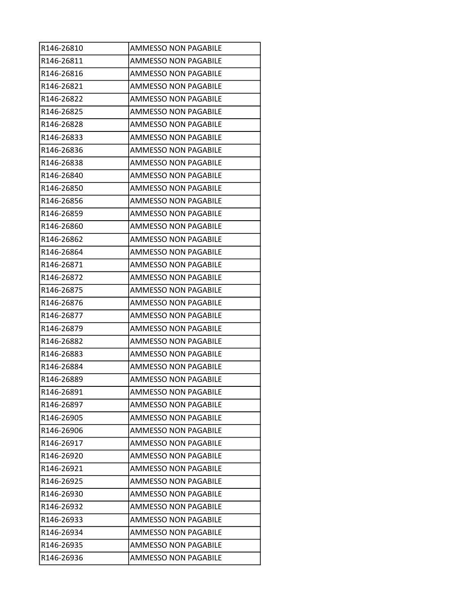| R146-26810 | <b>AMMESSO NON PAGABILE</b> |
|------------|-----------------------------|
| R146-26811 | AMMESSO NON PAGABILE        |
| R146-26816 | <b>AMMESSO NON PAGABILE</b> |
| R146-26821 | <b>AMMESSO NON PAGABILE</b> |
| R146-26822 | <b>AMMESSO NON PAGABILE</b> |
| R146-26825 | <b>AMMESSO NON PAGABILE</b> |
| R146-26828 | <b>AMMESSO NON PAGABILE</b> |
| R146-26833 | <b>AMMESSO NON PAGABILE</b> |
| R146-26836 | AMMESSO NON PAGABILE        |
| R146-26838 | <b>AMMESSO NON PAGABILE</b> |
| R146-26840 | <b>AMMESSO NON PAGABILE</b> |
| R146-26850 | AMMESSO NON PAGABILE        |
| R146-26856 | <b>AMMESSO NON PAGABILE</b> |
| R146-26859 | <b>AMMESSO NON PAGABILE</b> |
| R146-26860 | <b>AMMESSO NON PAGABILE</b> |
| R146-26862 | <b>AMMESSO NON PAGABILE</b> |
| R146-26864 | <b>AMMESSO NON PAGABILE</b> |
| R146-26871 | <b>AMMESSO NON PAGABILE</b> |
| R146-26872 | <b>AMMESSO NON PAGABILE</b> |
| R146-26875 | AMMESSO NON PAGABILE        |
| R146-26876 | <b>AMMESSO NON PAGABILE</b> |
| R146-26877 | <b>AMMESSO NON PAGABILE</b> |
| R146-26879 | <b>AMMESSO NON PAGABILE</b> |
| R146-26882 | AMMESSO NON PAGABILE        |
| R146-26883 | <b>AMMESSO NON PAGABILE</b> |
| R146-26884 | AMMESSO NON PAGABILE        |
| R146-26889 | <b>AMMESSO NON PAGABILE</b> |
| R146-26891 | <b>AMMESSO NON PAGABILE</b> |
| R146-26897 | <b>AMMESSO NON PAGABILE</b> |
| R146-26905 | <b>AMMESSO NON PAGABILE</b> |
| R146-26906 | <b>AMMESSO NON PAGABILE</b> |
| R146-26917 | <b>AMMESSO NON PAGABILE</b> |
| R146-26920 | <b>AMMESSO NON PAGABILE</b> |
| R146-26921 | <b>AMMESSO NON PAGABILE</b> |
| R146-26925 | AMMESSO NON PAGABILE        |
| R146-26930 | AMMESSO NON PAGABILE        |
| R146-26932 | AMMESSO NON PAGABILE        |
| R146-26933 | <b>AMMESSO NON PAGABILE</b> |
| R146-26934 | AMMESSO NON PAGABILE        |
| R146-26935 | AMMESSO NON PAGABILE        |
| R146-26936 | <b>AMMESSO NON PAGABILE</b> |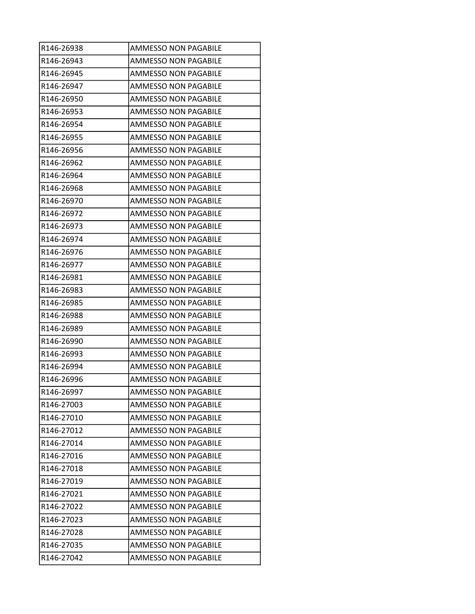| R146-26938 | AMMESSO NON PAGABILE        |
|------------|-----------------------------|
| R146-26943 | AMMESSO NON PAGABILE        |
| R146-26945 | <b>AMMESSO NON PAGABILE</b> |
| R146-26947 | <b>AMMESSO NON PAGABILE</b> |
| R146-26950 | <b>AMMESSO NON PAGABILE</b> |
| R146-26953 | <b>AMMESSO NON PAGABILE</b> |
| R146-26954 | <b>AMMESSO NON PAGABILE</b> |
| R146-26955 | <b>AMMESSO NON PAGABILE</b> |
| R146-26956 | AMMESSO NON PAGABILE        |
| R146-26962 | <b>AMMESSO NON PAGABILE</b> |
| R146-26964 | <b>AMMESSO NON PAGABILE</b> |
| R146-26968 | AMMESSO NON PAGABILE        |
| R146-26970 | <b>AMMESSO NON PAGABILE</b> |
| R146-26972 | <b>AMMESSO NON PAGABILE</b> |
| R146-26973 | <b>AMMESSO NON PAGABILE</b> |
| R146-26974 | <b>AMMESSO NON PAGABILE</b> |
| R146-26976 | <b>AMMESSO NON PAGABILE</b> |
| R146-26977 | <b>AMMESSO NON PAGABILE</b> |
| R146-26981 | <b>AMMESSO NON PAGABILE</b> |
| R146-26983 | AMMESSO NON PAGABILE        |
| R146-26985 | <b>AMMESSO NON PAGABILE</b> |
| R146-26988 | <b>AMMESSO NON PAGABILE</b> |
| R146-26989 | <b>AMMESSO NON PAGABILE</b> |
| R146-26990 | AMMESSO NON PAGABILE        |
| R146-26993 | <b>AMMESSO NON PAGABILE</b> |
| R146-26994 | AMMESSO NON PAGABILE        |
| R146-26996 | <b>AMMESSO NON PAGABILE</b> |
| R146-26997 | <b>AMMESSO NON PAGABILE</b> |
| R146-27003 | <b>AMMESSO NON PAGABILE</b> |
| R146-27010 | AMMESSO NON PAGABILE        |
| R146-27012 | <b>AMMESSO NON PAGABILE</b> |
| R146-27014 | <b>AMMESSO NON PAGABILE</b> |
| R146-27016 | <b>AMMESSO NON PAGABILE</b> |
| R146-27018 | <b>AMMESSO NON PAGABILE</b> |
| R146-27019 | AMMESSO NON PAGABILE        |
| R146-27021 | AMMESSO NON PAGABILE        |
| R146-27022 | AMMESSO NON PAGABILE        |
| R146-27023 | <b>AMMESSO NON PAGABILE</b> |
| R146-27028 | <b>AMMESSO NON PAGABILE</b> |
| R146-27035 | AMMESSO NON PAGABILE        |
| R146-27042 | <b>AMMESSO NON PAGABILE</b> |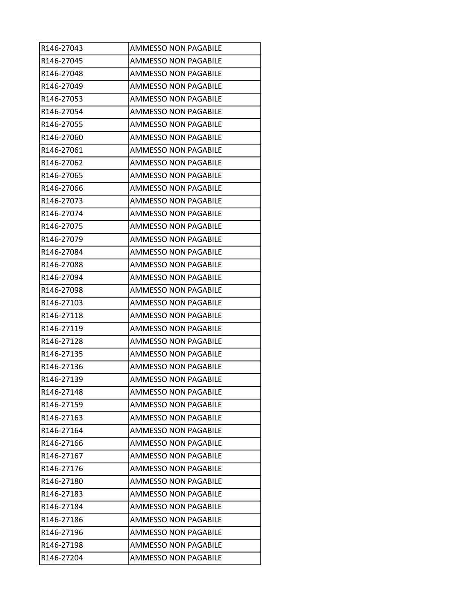| R146-27043 | <b>AMMESSO NON PAGABILE</b> |
|------------|-----------------------------|
| R146-27045 | <b>AMMESSO NON PAGABILE</b> |
| R146-27048 | <b>AMMESSO NON PAGABILE</b> |
| R146-27049 | <b>AMMESSO NON PAGABILE</b> |
| R146-27053 | <b>AMMESSO NON PAGABILE</b> |
| R146-27054 | <b>AMMESSO NON PAGABILE</b> |
| R146-27055 | <b>AMMESSO NON PAGABILE</b> |
| R146-27060 | <b>AMMESSO NON PAGABILE</b> |
| R146-27061 | AMMESSO NON PAGABILE        |
| R146-27062 | <b>AMMESSO NON PAGABILE</b> |
| R146-27065 | <b>AMMESSO NON PAGABILE</b> |
| R146-27066 | AMMESSO NON PAGABILE        |
| R146-27073 | <b>AMMESSO NON PAGABILE</b> |
| R146-27074 | <b>AMMESSO NON PAGABILE</b> |
| R146-27075 | <b>AMMESSO NON PAGABILE</b> |
| R146-27079 | AMMESSO NON PAGABILE        |
| R146-27084 | <b>AMMESSO NON PAGABILE</b> |
| R146-27088 | <b>AMMESSO NON PAGABILE</b> |
| R146-27094 | <b>AMMESSO NON PAGABILE</b> |
| R146-27098 | AMMESSO NON PAGABILE        |
| R146-27103 | <b>AMMESSO NON PAGABILE</b> |
| R146-27118 | <b>AMMESSO NON PAGABILE</b> |
| R146-27119 | <b>AMMESSO NON PAGABILE</b> |
| R146-27128 | AMMESSO NON PAGABILE        |
| R146-27135 | <b>AMMESSO NON PAGABILE</b> |
| R146-27136 | AMMESSO NON PAGABILE        |
| R146-27139 | <b>AMMESSO NON PAGABILE</b> |
| R146-27148 | <b>AMMESSO NON PAGABILE</b> |
| R146-27159 | <b>AMMESSO NON PAGABILE</b> |
| R146-27163 | <b>AMMESSO NON PAGABILE</b> |
| R146-27164 | <b>AMMESSO NON PAGABILE</b> |
| R146-27166 | <b>AMMESSO NON PAGABILE</b> |
| R146-27167 | <b>AMMESSO NON PAGABILE</b> |
| R146-27176 | <b>AMMESSO NON PAGABILE</b> |
| R146-27180 | AMMESSO NON PAGABILE        |
| R146-27183 | AMMESSO NON PAGABILE        |
| R146-27184 | AMMESSO NON PAGABILE        |
| R146-27186 | <b>AMMESSO NON PAGABILE</b> |
| R146-27196 | <b>AMMESSO NON PAGABILE</b> |
| R146-27198 | AMMESSO NON PAGABILE        |
| R146-27204 | <b>AMMESSO NON PAGABILE</b> |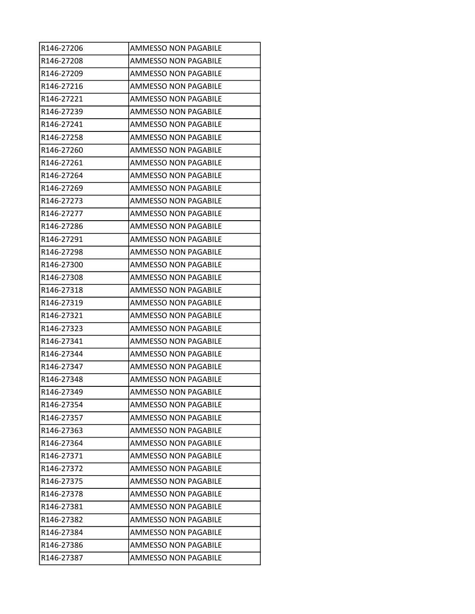| R146-27206 | <b>AMMESSO NON PAGABILE</b> |
|------------|-----------------------------|
| R146-27208 | AMMESSO NON PAGABILE        |
| R146-27209 | <b>AMMESSO NON PAGABILE</b> |
| R146-27216 | <b>AMMESSO NON PAGABILE</b> |
| R146-27221 | <b>AMMESSO NON PAGABILE</b> |
| R146-27239 | <b>AMMESSO NON PAGABILE</b> |
| R146-27241 | <b>AMMESSO NON PAGABILE</b> |
| R146-27258 | <b>AMMESSO NON PAGABILE</b> |
| R146-27260 | AMMESSO NON PAGABILE        |
| R146-27261 | <b>AMMESSO NON PAGABILE</b> |
| R146-27264 | <b>AMMESSO NON PAGABILE</b> |
| R146-27269 | AMMESSO NON PAGABILE        |
| R146-27273 | <b>AMMESSO NON PAGABILE</b> |
| R146-27277 | <b>AMMESSO NON PAGABILE</b> |
| R146-27286 | <b>AMMESSO NON PAGABILE</b> |
| R146-27291 | AMMESSO NON PAGABILE        |
| R146-27298 | <b>AMMESSO NON PAGABILE</b> |
| R146-27300 | <b>AMMESSO NON PAGABILE</b> |
| R146-27308 | <b>AMMESSO NON PAGABILE</b> |
| R146-27318 | AMMESSO NON PAGABILE        |
| R146-27319 | <b>AMMESSO NON PAGABILE</b> |
| R146-27321 | <b>AMMESSO NON PAGABILE</b> |
| R146-27323 | <b>AMMESSO NON PAGABILE</b> |
| R146-27341 | AMMESSO NON PAGABILE        |
| R146-27344 | <b>AMMESSO NON PAGABILE</b> |
| R146-27347 | AMMESSO NON PAGABILE        |
| R146-27348 | <b>AMMESSO NON PAGABILE</b> |
| R146-27349 | <b>AMMESSO NON PAGABILE</b> |
| R146-27354 | <b>AMMESSO NON PAGABILE</b> |
| R146-27357 | AMMESSO NON PAGABILE        |
| R146-27363 | <b>AMMESSO NON PAGABILE</b> |
| R146-27364 | <b>AMMESSO NON PAGABILE</b> |
| R146-27371 | <b>AMMESSO NON PAGABILE</b> |
| R146-27372 | <b>AMMESSO NON PAGABILE</b> |
| R146-27375 | AMMESSO NON PAGABILE        |
| R146-27378 | AMMESSO NON PAGABILE        |
| R146-27381 | AMMESSO NON PAGABILE        |
| R146-27382 | <b>AMMESSO NON PAGABILE</b> |
| R146-27384 | AMMESSO NON PAGABILE        |
| R146-27386 | AMMESSO NON PAGABILE        |
| R146-27387 | <b>AMMESSO NON PAGABILE</b> |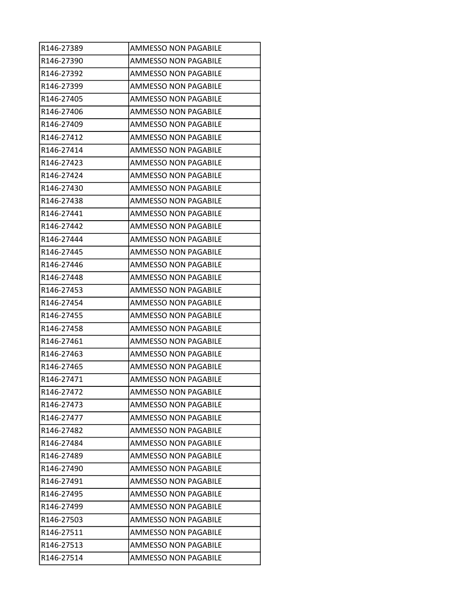| R146-27389 | <b>AMMESSO NON PAGABILE</b> |
|------------|-----------------------------|
| R146-27390 | AMMESSO NON PAGABILE        |
| R146-27392 | AMMESSO NON PAGABILE        |
| R146-27399 | AMMESSO NON PAGABILE        |
| R146-27405 | AMMESSO NON PAGABILE        |
| R146-27406 | <b>AMMESSO NON PAGABILE</b> |
| R146-27409 | <b>AMMESSO NON PAGABILE</b> |
| R146-27412 | <b>AMMESSO NON PAGABILE</b> |
| R146-27414 | <b>AMMESSO NON PAGABILE</b> |
| R146-27423 | <b>AMMESSO NON PAGABILE</b> |
| R146-27424 | AMMESSO NON PAGABILE        |
| R146-27430 | AMMESSO NON PAGABILE        |
| R146-27438 | AMMESSO NON PAGABILE        |
| R146-27441 | <b>AMMESSO NON PAGABILE</b> |
| R146-27442 | <b>AMMESSO NON PAGABILE</b> |
| R146-27444 | AMMESSO NON PAGABILE        |
| R146-27445 | <b>AMMESSO NON PAGABILE</b> |
| R146-27446 | AMMESSO NON PAGABILE        |
| R146-27448 | <b>AMMESSO NON PAGABILE</b> |
| R146-27453 | AMMESSO NON PAGABILE        |
| R146-27454 | AMMESSO NON PAGABILE        |
| R146-27455 | AMMESSO NON PAGABILE        |
| R146-27458 | AMMESSO NON PAGABILE        |
| R146-27461 | AMMESSO NON PAGABILE        |
| R146-27463 | AMMESSO NON PAGABILE        |
| R146-27465 | AMMESSO NON PAGABILE        |
| R146-27471 | <b>AMMESSO NON PAGABILE</b> |
| R146-27472 | <b>AMMESSO NON PAGABILE</b> |
| R146-27473 | <b>AMMESSO NON PAGABILE</b> |
| R146-27477 | AMMESSO NON PAGABILE        |
| R146-27482 | <b>AMMESSO NON PAGABILE</b> |
| R146-27484 | AMMESSO NON PAGABILE        |
| R146-27489 | <b>AMMESSO NON PAGABILE</b> |
| R146-27490 | <b>AMMESSO NON PAGABILE</b> |
| R146-27491 | AMMESSO NON PAGABILE        |
| R146-27495 | AMMESSO NON PAGABILE        |
| R146-27499 | AMMESSO NON PAGABILE        |
| R146-27503 | AMMESSO NON PAGABILE        |
| R146-27511 | AMMESSO NON PAGABILE        |
| R146-27513 | AMMESSO NON PAGABILE        |
| R146-27514 | AMMESSO NON PAGABILE        |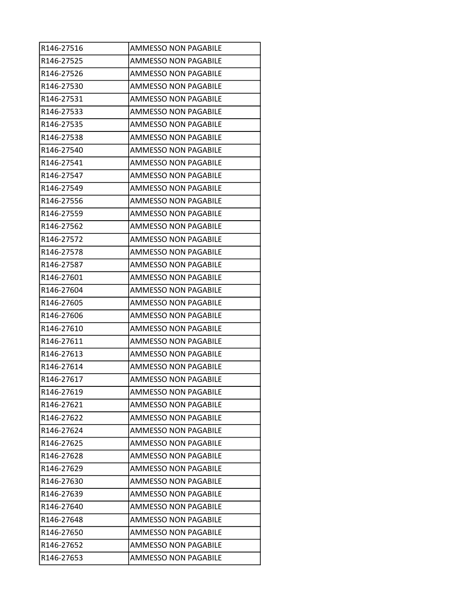| R146-27516 | AMMESSO NON PAGABILE        |
|------------|-----------------------------|
| R146-27525 | AMMESSO NON PAGABILE        |
| R146-27526 | <b>AMMESSO NON PAGABILE</b> |
| R146-27530 | AMMESSO NON PAGABILE        |
| R146-27531 | AMMESSO NON PAGABILE        |
| R146-27533 | <b>AMMESSO NON PAGABILE</b> |
| R146-27535 | <b>AMMESSO NON PAGABILE</b> |
| R146-27538 | <b>AMMESSO NON PAGABILE</b> |
| R146-27540 | AMMESSO NON PAGABILE        |
| R146-27541 | AMMESSO NON PAGABILE        |
| R146-27547 | <b>AMMESSO NON PAGABILE</b> |
| R146-27549 | AMMESSO NON PAGABILE        |
| R146-27556 | AMMESSO NON PAGABILE        |
| R146-27559 | <b>AMMESSO NON PAGABILE</b> |
| R146-27562 | <b>AMMESSO NON PAGABILE</b> |
| R146-27572 | AMMESSO NON PAGABILE        |
| R146-27578 | <b>AMMESSO NON PAGABILE</b> |
| R146-27587 | AMMESSO NON PAGABILE        |
| R146-27601 | <b>AMMESSO NON PAGABILE</b> |
| R146-27604 | AMMESSO NON PAGABILE        |
| R146-27605 | AMMESSO NON PAGABILE        |
| R146-27606 | AMMESSO NON PAGABILE        |
| R146-27610 | AMMESSO NON PAGABILE        |
| R146-27611 | AMMESSO NON PAGABILE        |
| R146-27613 | AMMESSO NON PAGABILE        |
| R146-27614 | AMMESSO NON PAGABILE        |
| R146-27617 | <b>AMMESSO NON PAGABILE</b> |
| R146-27619 | <b>AMMESSO NON PAGABILE</b> |
| R146-27621 | <b>AMMESSO NON PAGABILE</b> |
| R146-27622 | AMMESSO NON PAGABILE        |
| R146-27624 | AMMESSO NON PAGABILE        |
| R146-27625 | AMMESSO NON PAGABILE        |
| R146-27628 | <b>AMMESSO NON PAGABILE</b> |
| R146-27629 | <b>AMMESSO NON PAGABILE</b> |
| R146-27630 | AMMESSO NON PAGABILE        |
| R146-27639 | AMMESSO NON PAGABILE        |
| R146-27640 | AMMESSO NON PAGABILE        |
| R146-27648 | AMMESSO NON PAGABILE        |
| R146-27650 | AMMESSO NON PAGABILE        |
| R146-27652 | AMMESSO NON PAGABILE        |
| R146-27653 | AMMESSO NON PAGABILE        |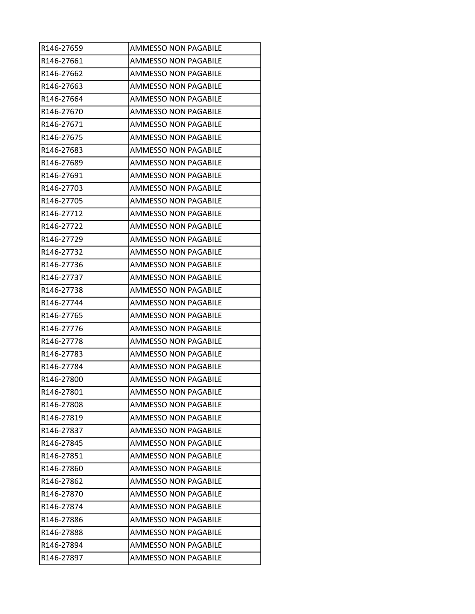| R146-27659 | <b>AMMESSO NON PAGABILE</b> |
|------------|-----------------------------|
| R146-27661 | AMMESSO NON PAGABILE        |
| R146-27662 | <b>AMMESSO NON PAGABILE</b> |
| R146-27663 | AMMESSO NON PAGABILE        |
| R146-27664 | AMMESSO NON PAGABILE        |
| R146-27670 | <b>AMMESSO NON PAGABILE</b> |
| R146-27671 | <b>AMMESSO NON PAGABILE</b> |
| R146-27675 | <b>AMMESSO NON PAGABILE</b> |
| R146-27683 | <b>AMMESSO NON PAGABILE</b> |
| R146-27689 | AMMESSO NON PAGABILE        |
| R146-27691 | <b>AMMESSO NON PAGABILE</b> |
| R146-27703 | AMMESSO NON PAGABILE        |
| R146-27705 | AMMESSO NON PAGABILE        |
| R146-27712 | <b>AMMESSO NON PAGABILE</b> |
| R146-27722 | <b>AMMESSO NON PAGABILE</b> |
| R146-27729 | AMMESSO NON PAGABILE        |
| R146-27732 | <b>AMMESSO NON PAGABILE</b> |
| R146-27736 | AMMESSO NON PAGABILE        |
| R146-27737 | <b>AMMESSO NON PAGABILE</b> |
| R146-27738 | AMMESSO NON PAGABILE        |
| R146-27744 | AMMESSO NON PAGABILE        |
| R146-27765 | AMMESSO NON PAGABILE        |
| R146-27776 | AMMESSO NON PAGABILE        |
| R146-27778 | AMMESSO NON PAGABILE        |
| R146-27783 | AMMESSO NON PAGABILE        |
| R146-27784 | AMMESSO NON PAGABILE        |
| R146-27800 | <b>AMMESSO NON PAGABILE</b> |
| R146-27801 | <b>AMMESSO NON PAGABILE</b> |
| R146-27808 | <b>AMMESSO NON PAGABILE</b> |
| R146-27819 | AMMESSO NON PAGABILE        |
| R146-27837 | AMMESSO NON PAGABILE        |
| R146-27845 | AMMESSO NON PAGABILE        |
| R146-27851 | <b>AMMESSO NON PAGABILE</b> |
| R146-27860 | <b>AMMESSO NON PAGABILE</b> |
| R146-27862 | AMMESSO NON PAGABILE        |
| R146-27870 | AMMESSO NON PAGABILE        |
| R146-27874 | AMMESSO NON PAGABILE        |
| R146-27886 | AMMESSO NON PAGABILE        |
| R146-27888 | AMMESSO NON PAGABILE        |
| R146-27894 | AMMESSO NON PAGABILE        |
| R146-27897 | AMMESSO NON PAGABILE        |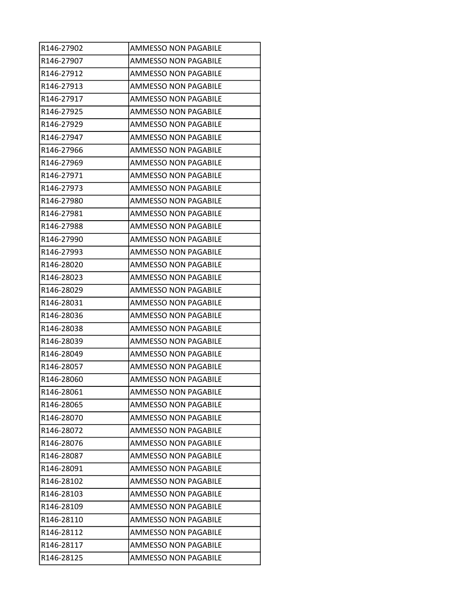| R146-27902 | <b>AMMESSO NON PAGABILE</b> |
|------------|-----------------------------|
| R146-27907 | AMMESSO NON PAGABILE        |
| R146-27912 | <b>AMMESSO NON PAGABILE</b> |
| R146-27913 | AMMESSO NON PAGABILE        |
| R146-27917 | AMMESSO NON PAGABILE        |
| R146-27925 | <b>AMMESSO NON PAGABILE</b> |
| R146-27929 | <b>AMMESSO NON PAGABILE</b> |
| R146-27947 | <b>AMMESSO NON PAGABILE</b> |
| R146-27966 | AMMESSO NON PAGABILE        |
| R146-27969 | AMMESSO NON PAGABILE        |
| R146-27971 | <b>AMMESSO NON PAGABILE</b> |
| R146-27973 | AMMESSO NON PAGABILE        |
| R146-27980 | AMMESSO NON PAGABILE        |
| R146-27981 | <b>AMMESSO NON PAGABILE</b> |
| R146-27988 | <b>AMMESSO NON PAGABILE</b> |
| R146-27990 | AMMESSO NON PAGABILE        |
| R146-27993 | <b>AMMESSO NON PAGABILE</b> |
| R146-28020 | AMMESSO NON PAGABILE        |
| R146-28023 | <b>AMMESSO NON PAGABILE</b> |
| R146-28029 | AMMESSO NON PAGABILE        |
| R146-28031 | AMMESSO NON PAGABILE        |
| R146-28036 | AMMESSO NON PAGABILE        |
| R146-28038 | AMMESSO NON PAGABILE        |
| R146-28039 | AMMESSO NON PAGABILE        |
| R146-28049 | AMMESSO NON PAGABILE        |
| R146-28057 | AMMESSO NON PAGABILE        |
| R146-28060 | <b>AMMESSO NON PAGABILE</b> |
| R146-28061 | <b>AMMESSO NON PAGABILE</b> |
| R146-28065 | <b>AMMESSO NON PAGABILE</b> |
| R146-28070 | AMMESSO NON PAGABILE        |
| R146-28072 | AMMESSO NON PAGABILE        |
| R146-28076 | AMMESSO NON PAGABILE        |
| R146-28087 | <b>AMMESSO NON PAGABILE</b> |
| R146-28091 | <b>AMMESSO NON PAGABILE</b> |
| R146-28102 | AMMESSO NON PAGABILE        |
| R146-28103 | AMMESSO NON PAGABILE        |
| R146-28109 | AMMESSO NON PAGABILE        |
| R146-28110 | AMMESSO NON PAGABILE        |
| R146-28112 | AMMESSO NON PAGABILE        |
| R146-28117 | AMMESSO NON PAGABILE        |
| R146-28125 | AMMESSO NON PAGABILE        |